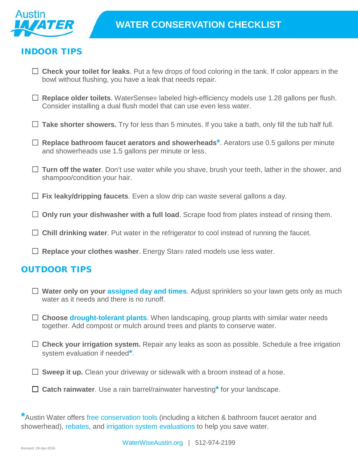

## INDOOR TIPS

- **Check your toilet for leaks**. Put a few drops of food coloring in the tank. If color appears in the bowl without flushing, you have a leak that needs repair.
- **Replace older toilets**. WaterSense® labeled high-efficiency models use 1.28 gallons per flush. Consider installing a dual flush model that can use even less water.
- **Take shorter showers.** Try for less than 5 minutes. If you take a bath, only fill the tub half full.
- **Replace bathroom faucet aerators and showerheads\***. Aerators use 0.5 gallons per minute and showerheads use 1.5 gallons per minute or less.
- **Turn off the water**. Don't use water while you shave, brush your teeth, lather in the shower, and shampoo/condition your hair.
- **Fix leaky/dripping faucets**. Even a slow drip can waste several gallons a day.
- □ Only run your dishwasher with a full load. Scrape food from plates instead of rinsing them.
- □ Chill drinking water. Put water in the refrigerator to cool instead of running the faucet.
- **Replace your clothes washer**. Energy Star® rated models use less water.

## OUTDOOR TIPS

- **Water only on your [assigned day](http://www.austintexas.gov/department/water-conservation) and times**. Adjust sprinklers so your lawn gets only as much water as it needs and there is no runoff.
- **Choose [drought-tolerant plants](http://www.austintexas.gov/department/grow-green/plant-guide)**. When landscaping, group plants with similar water needs together. Add compost or mulch around trees and plants to conserve water.
- □ Check your irrigation system. Repair any leaks as soon as possible. Schedule a free irrigation system evaluation if needed**\***.
- □ **Sweep it up.** Clean your driveway or sidewalk with a broom instead of a hose.
- **Catch rainwater**. Use a rain barrel/rainwater harvesting**\*** for your landscape.

**\***Austin Water offers free [conservation tools](http://www.austintexas.gov/department/free-water-conservation-tools) (including a kitchen & bathroom faucet aerator and showerhead), [rebates,](http://www.austintexas.gov/department/water-conservation-rebates) and [irrigation system evaluations](http://www.austintexas.gov/department/irrigation-system-evaluations-and-rebates) to help you save water.